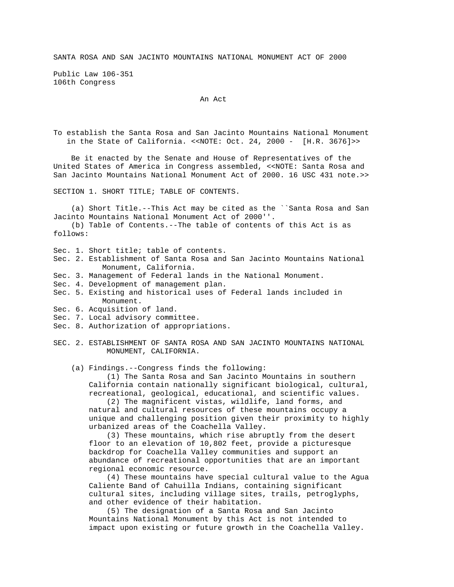SANTA ROSA AND SAN JACINTO MOUNTAINS NATIONAL MONUMENT ACT OF 2000

Public Law 106-351 106th Congress

## An Act

To establish the Santa Rosa and San Jacinto Mountains National Monument in the State of California. <<NOTE: Oct. 24, 2000 - [H.R. 3676]>>

 Be it enacted by the Senate and House of Representatives of the United States of America in Congress assembled, <<NOTE: Santa Rosa and San Jacinto Mountains National Monument Act of 2000. 16 USC 431 note.>>

SECTION 1. SHORT TITLE; TABLE OF CONTENTS.

 (a) Short Title.--This Act may be cited as the ``Santa Rosa and San Jacinto Mountains National Monument Act of 2000''.

 (b) Table of Contents.--The table of contents of this Act is as follows:

- Sec. 1. Short title; table of contents.
- Sec. 2. Establishment of Santa Rosa and San Jacinto Mountains National Monument, California.
- Sec. 3. Management of Federal lands in the National Monument.
- Sec. 4. Development of management plan.
- Sec. 5. Existing and historical uses of Federal lands included in Monument.
- Sec. 6. Acquisition of land.
- Sec. 7. Local advisory committee.
- Sec. 8. Authorization of appropriations.
- SEC. 2. ESTABLISHMENT OF SANTA ROSA AND SAN JACINTO MOUNTAINS NATIONAL MONUMENT, CALIFORNIA.
	- (a) Findings.--Congress finds the following:

 (1) The Santa Rosa and San Jacinto Mountains in southern California contain nationally significant biological, cultural, recreational, geological, educational, and scientific values.

 (2) The magnificent vistas, wildlife, land forms, and natural and cultural resources of these mountains occupy a unique and challenging position given their proximity to highly urbanized areas of the Coachella Valley.

 (3) These mountains, which rise abruptly from the desert floor to an elevation of 10,802 feet, provide a picturesque backdrop for Coachella Valley communities and support an abundance of recreational opportunities that are an important regional economic resource.

 (4) These mountains have special cultural value to the Agua Caliente Band of Cahuilla Indians, containing significant cultural sites, including village sites, trails, petroglyphs, and other evidence of their habitation.

 (5) The designation of a Santa Rosa and San Jacinto Mountains National Monument by this Act is not intended to impact upon existing or future growth in the Coachella Valley.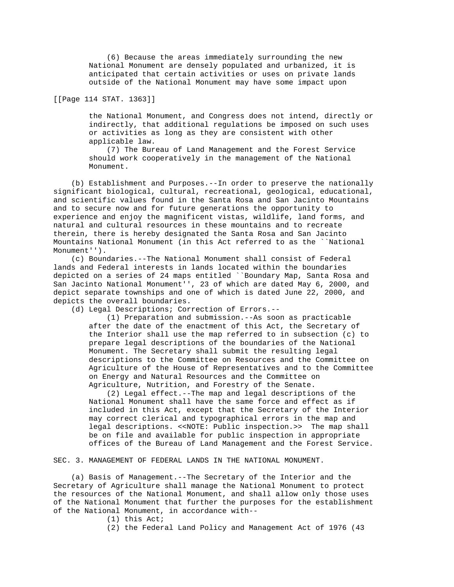(6) Because the areas immediately surrounding the new National Monument are densely populated and urbanized, it is anticipated that certain activities or uses on private lands outside of the National Monument may have some impact upon

[[Page 114 STAT. 1363]]

 the National Monument, and Congress does not intend, directly or indirectly, that additional regulations be imposed on such uses or activities as long as they are consistent with other applicable law.

 (7) The Bureau of Land Management and the Forest Service should work cooperatively in the management of the National Monument.

 (b) Establishment and Purposes.--In order to preserve the nationally significant biological, cultural, recreational, geological, educational, and scientific values found in the Santa Rosa and San Jacinto Mountains and to secure now and for future generations the opportunity to experience and enjoy the magnificent vistas, wildlife, land forms, and natural and cultural resources in these mountains and to recreate therein, there is hereby designated the Santa Rosa and San Jacinto Mountains National Monument (in this Act referred to as the ``National Monument'').

 (c) Boundaries.--The National Monument shall consist of Federal lands and Federal interests in lands located within the boundaries depicted on a series of 24 maps entitled ``Boundary Map, Santa Rosa and San Jacinto National Monument'', 23 of which are dated May 6, 2000, and depict separate townships and one of which is dated June 22, 2000, and depicts the overall boundaries.

(d) Legal Descriptions; Correction of Errors.--

 (1) Preparation and submission.--As soon as practicable after the date of the enactment of this Act, the Secretary of the Interior shall use the map referred to in subsection (c) to prepare legal descriptions of the boundaries of the National Monument. The Secretary shall submit the resulting legal descriptions to the Committee on Resources and the Committee on Agriculture of the House of Representatives and to the Committee on Energy and Natural Resources and the Committee on Agriculture, Nutrition, and Forestry of the Senate.

 (2) Legal effect.--The map and legal descriptions of the National Monument shall have the same force and effect as if included in this Act, except that the Secretary of the Interior may correct clerical and typographical errors in the map and legal descriptions. << NOTE: Public inspection.>> The map shall be on file and available for public inspection in appropriate offices of the Bureau of Land Management and the Forest Service.

SEC. 3. MANAGEMENT OF FEDERAL LANDS IN THE NATIONAL MONUMENT.

 (a) Basis of Management.--The Secretary of the Interior and the Secretary of Agriculture shall manage the National Monument to protect the resources of the National Monument, and shall allow only those uses of the National Monument that further the purposes for the establishment of the National Monument, in accordance with--

(1) this Act;

(2) the Federal Land Policy and Management Act of 1976 (43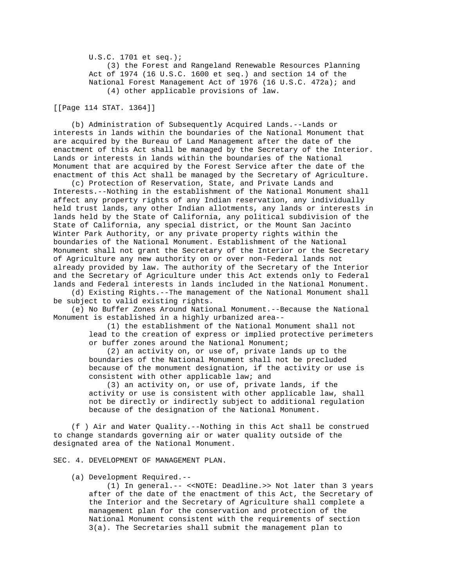U.S.C. 1701 et seq.); (3) the Forest and Rangeland Renewable Resources Planning Act of 1974 (16 U.S.C. 1600 et seq.) and section 14 of the National Forest Management Act of 1976 (16 U.S.C. 472a); and (4) other applicable provisions of law.

[[Page 114 STAT. 1364]]

 (b) Administration of Subsequently Acquired Lands.--Lands or interests in lands within the boundaries of the National Monument that are acquired by the Bureau of Land Management after the date of the enactment of this Act shall be managed by the Secretary of the Interior. Lands or interests in lands within the boundaries of the National Monument that are acquired by the Forest Service after the date of the enactment of this Act shall be managed by the Secretary of Agriculture.

 (c) Protection of Reservation, State, and Private Lands and Interests.--Nothing in the establishment of the National Monument shall affect any property rights of any Indian reservation, any individually held trust lands, any other Indian allotments, any lands or interests in lands held by the State of California, any political subdivision of the State of California, any special district, or the Mount San Jacinto Winter Park Authority, or any private property rights within the boundaries of the National Monument. Establishment of the National Monument shall not grant the Secretary of the Interior or the Secretary of Agriculture any new authority on or over non-Federal lands not already provided by law. The authority of the Secretary of the Interior and the Secretary of Agriculture under this Act extends only to Federal lands and Federal interests in lands included in the National Monument.

 (d) Existing Rights.--The management of the National Monument shall be subject to valid existing rights.

 (e) No Buffer Zones Around National Monument.--Because the National Monument is established in a highly urbanized area--

> (1) the establishment of the National Monument shall not lead to the creation of express or implied protective perimeters or buffer zones around the National Monument;

 (2) an activity on, or use of, private lands up to the boundaries of the National Monument shall not be precluded because of the monument designation, if the activity or use is consistent with other applicable law; and

 (3) an activity on, or use of, private lands, if the activity or use is consistent with other applicable law, shall not be directly or indirectly subject to additional regulation because of the designation of the National Monument.

 (f ) Air and Water Quality.--Nothing in this Act shall be construed to change standards governing air or water quality outside of the designated area of the National Monument.

SEC. 4. DEVELOPMENT OF MANAGEMENT PLAN.

(a) Development Required.--

 (1) In general.-- <<NOTE: Deadline.>> Not later than 3 years after of the date of the enactment of this Act, the Secretary of the Interior and the Secretary of Agriculture shall complete a management plan for the conservation and protection of the National Monument consistent with the requirements of section 3(a). The Secretaries shall submit the management plan to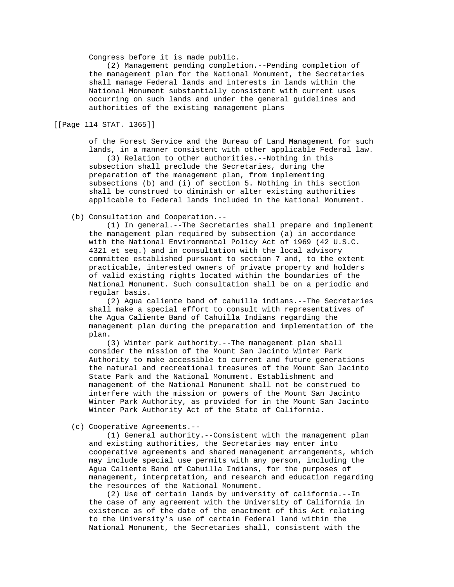Congress before it is made public.

 (2) Management pending completion.--Pending completion of the management plan for the National Monument, the Secretaries shall manage Federal lands and interests in lands within the National Monument substantially consistent with current uses occurring on such lands and under the general guidelines and authorities of the existing management plans

[[Page 114 STAT. 1365]]

 of the Forest Service and the Bureau of Land Management for such lands, in a manner consistent with other applicable Federal law.

 (3) Relation to other authorities.--Nothing in this subsection shall preclude the Secretaries, during the preparation of the management plan, from implementing subsections (b) and (i) of section 5. Nothing in this section shall be construed to diminish or alter existing authorities applicable to Federal lands included in the National Monument.

(b) Consultation and Cooperation.--

 (1) In general.--The Secretaries shall prepare and implement the management plan required by subsection (a) in accordance with the National Environmental Policy Act of 1969 (42 U.S.C. 4321 et seq.) and in consultation with the local advisory committee established pursuant to section 7 and, to the extent practicable, interested owners of private property and holders of valid existing rights located within the boundaries of the National Monument. Such consultation shall be on a periodic and regular basis.

 (2) Agua caliente band of cahuilla indians.--The Secretaries shall make a special effort to consult with representatives of the Agua Caliente Band of Cahuilla Indians regarding the management plan during the preparation and implementation of the plan.

 (3) Winter park authority.--The management plan shall consider the mission of the Mount San Jacinto Winter Park Authority to make accessible to current and future generations the natural and recreational treasures of the Mount San Jacinto State Park and the National Monument. Establishment and management of the National Monument shall not be construed to interfere with the mission or powers of the Mount San Jacinto Winter Park Authority, as provided for in the Mount San Jacinto Winter Park Authority Act of the State of California.

(c) Cooperative Agreements.--

 (1) General authority.--Consistent with the management plan and existing authorities, the Secretaries may enter into cooperative agreements and shared management arrangements, which may include special use permits with any person, including the Agua Caliente Band of Cahuilla Indians, for the purposes of management, interpretation, and research and education regarding the resources of the National Monument.

 (2) Use of certain lands by university of california.--In the case of any agreement with the University of California in existence as of the date of the enactment of this Act relating to the University's use of certain Federal land within the National Monument, the Secretaries shall, consistent with the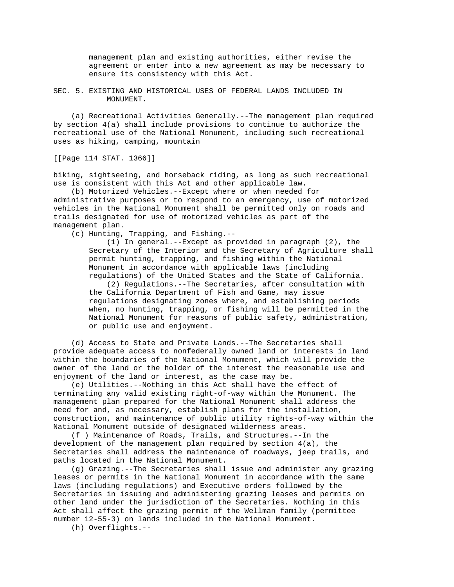management plan and existing authorities, either revise the agreement or enter into a new agreement as may be necessary to ensure its consistency with this Act.

SEC. 5. EXISTING AND HISTORICAL USES OF FEDERAL LANDS INCLUDED IN MONUMENT.

 (a) Recreational Activities Generally.--The management plan required by section 4(a) shall include provisions to continue to authorize the recreational use of the National Monument, including such recreational uses as hiking, camping, mountain

[[Page 114 STAT. 1366]]

biking, sightseeing, and horseback riding, as long as such recreational use is consistent with this Act and other applicable law.

 (b) Motorized Vehicles.--Except where or when needed for administrative purposes or to respond to an emergency, use of motorized vehicles in the National Monument shall be permitted only on roads and trails designated for use of motorized vehicles as part of the management plan.

(c) Hunting, Trapping, and Fishing.--

 (1) In general.--Except as provided in paragraph (2), the Secretary of the Interior and the Secretary of Agriculture shall permit hunting, trapping, and fishing within the National Monument in accordance with applicable laws (including regulations) of the United States and the State of California.

 (2) Regulations.--The Secretaries, after consultation with the California Department of Fish and Game, may issue regulations designating zones where, and establishing periods when, no hunting, trapping, or fishing will be permitted in the National Monument for reasons of public safety, administration, or public use and enjoyment.

 (d) Access to State and Private Lands.--The Secretaries shall provide adequate access to nonfederally owned land or interests in land within the boundaries of the National Monument, which will provide the owner of the land or the holder of the interest the reasonable use and enjoyment of the land or interest, as the case may be.

 (e) Utilities.--Nothing in this Act shall have the effect of terminating any valid existing right-of-way within the Monument. The management plan prepared for the National Monument shall address the need for and, as necessary, establish plans for the installation, construction, and maintenance of public utility rights-of-way within the National Monument outside of designated wilderness areas.

 (f ) Maintenance of Roads, Trails, and Structures.--In the development of the management plan required by section 4(a), the Secretaries shall address the maintenance of roadways, jeep trails, and paths located in the National Monument.

 (g) Grazing.--The Secretaries shall issue and administer any grazing leases or permits in the National Monument in accordance with the same laws (including regulations) and Executive orders followed by the Secretaries in issuing and administering grazing leases and permits on other land under the jurisdiction of the Secretaries. Nothing in this Act shall affect the grazing permit of the Wellman family (permittee number 12-55-3) on lands included in the National Monument.

(h) Overflights.--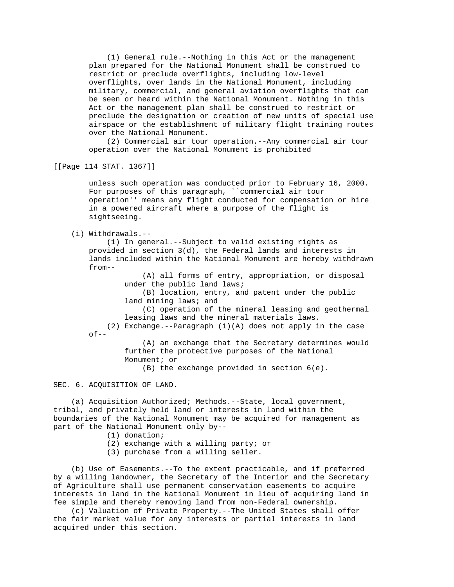(1) General rule.--Nothing in this Act or the management plan prepared for the National Monument shall be construed to restrict or preclude overflights, including low-level overflights, over lands in the National Monument, including military, commercial, and general aviation overflights that can be seen or heard within the National Monument. Nothing in this Act or the management plan shall be construed to restrict or preclude the designation or creation of new units of special use airspace or the establishment of military flight training routes over the National Monument.

 (2) Commercial air tour operation.--Any commercial air tour operation over the National Monument is prohibited

[[Page 114 STAT. 1367]]

 unless such operation was conducted prior to February 16, 2000. For purposes of this paragraph, ``commercial air tour operation'' means any flight conducted for compensation or hire in a powered aircraft where a purpose of the flight is sightseeing.

(i) Withdrawals.--

 (1) In general.--Subject to valid existing rights as provided in section 3(d), the Federal lands and interests in lands included within the National Monument are hereby withdrawn from--

> (A) all forms of entry, appropriation, or disposal under the public land laws;

 (B) location, entry, and patent under the public land mining laws; and

 (C) operation of the mineral leasing and geothermal leasing laws and the mineral materials laws.

 (2) Exchange.--Paragraph (1)(A) does not apply in the case  $of--$ 

> (A) an exchange that the Secretary determines would further the protective purposes of the National Monument; or

(B) the exchange provided in section 6(e).

## SEC. 6. ACQUISITION OF LAND.

 (a) Acquisition Authorized; Methods.--State, local government, tribal, and privately held land or interests in land within the boundaries of the National Monument may be acquired for management as part of the National Monument only by--

- (1) donation;
- (2) exchange with a willing party; or
- (3) purchase from a willing seller.

 (b) Use of Easements.--To the extent practicable, and if preferred by a willing landowner, the Secretary of the Interior and the Secretary of Agriculture shall use permanent conservation easements to acquire interests in land in the National Monument in lieu of acquiring land in fee simple and thereby removing land from non-Federal ownership.

 (c) Valuation of Private Property.--The United States shall offer the fair market value for any interests or partial interests in land acquired under this section.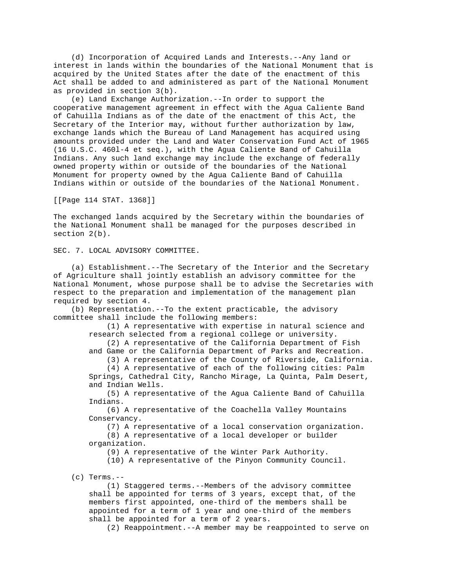(d) Incorporation of Acquired Lands and Interests.--Any land or interest in lands within the boundaries of the National Monument that is acquired by the United States after the date of the enactment of this Act shall be added to and administered as part of the National Monument as provided in section 3(b).

 (e) Land Exchange Authorization.--In order to support the cooperative management agreement in effect with the Agua Caliente Band of Cahuilla Indians as of the date of the enactment of this Act, the Secretary of the Interior may, without further authorization by law, exchange lands which the Bureau of Land Management has acquired using amounts provided under the Land and Water Conservation Fund Act of 1965 (16 U.S.C. 460l-4 et seq.), with the Agua Caliente Band of Cahuilla Indians. Any such land exchange may include the exchange of federally owned property within or outside of the boundaries of the National Monument for property owned by the Agua Caliente Band of Cahuilla Indians within or outside of the boundaries of the National Monument.

[[Page 114 STAT. 1368]]

The exchanged lands acquired by the Secretary within the boundaries of the National Monument shall be managed for the purposes described in section 2(b).

SEC. 7. LOCAL ADVISORY COMMITTEE.

 (a) Establishment.--The Secretary of the Interior and the Secretary of Agriculture shall jointly establish an advisory committee for the National Monument, whose purpose shall be to advise the Secretaries with respect to the preparation and implementation of the management plan required by section 4.

 (b) Representation.--To the extent practicable, the advisory committee shall include the following members:

> (1) A representative with expertise in natural science and research selected from a regional college or university.

> (2) A representative of the California Department of Fish and Game or the California Department of Parks and Recreation.

(3) A representative of the County of Riverside, California.

 (4) A representative of each of the following cities: Palm Springs, Cathedral City, Rancho Mirage, La Quinta, Palm Desert, and Indian Wells.

 (5) A representative of the Agua Caliente Band of Cahuilla Indians.

 (6) A representative of the Coachella Valley Mountains Conservancy.

 (7) A representative of a local conservation organization. (8) A representative of a local developer or builder organization.

(9) A representative of the Winter Park Authority.

(10) A representative of the Pinyon Community Council.

(c) Terms.--

 (1) Staggered terms.--Members of the advisory committee shall be appointed for terms of 3 years, except that, of the members first appointed, one-third of the members shall be appointed for a term of 1 year and one-third of the members shall be appointed for a term of 2 years.

(2) Reappointment.--A member may be reappointed to serve on